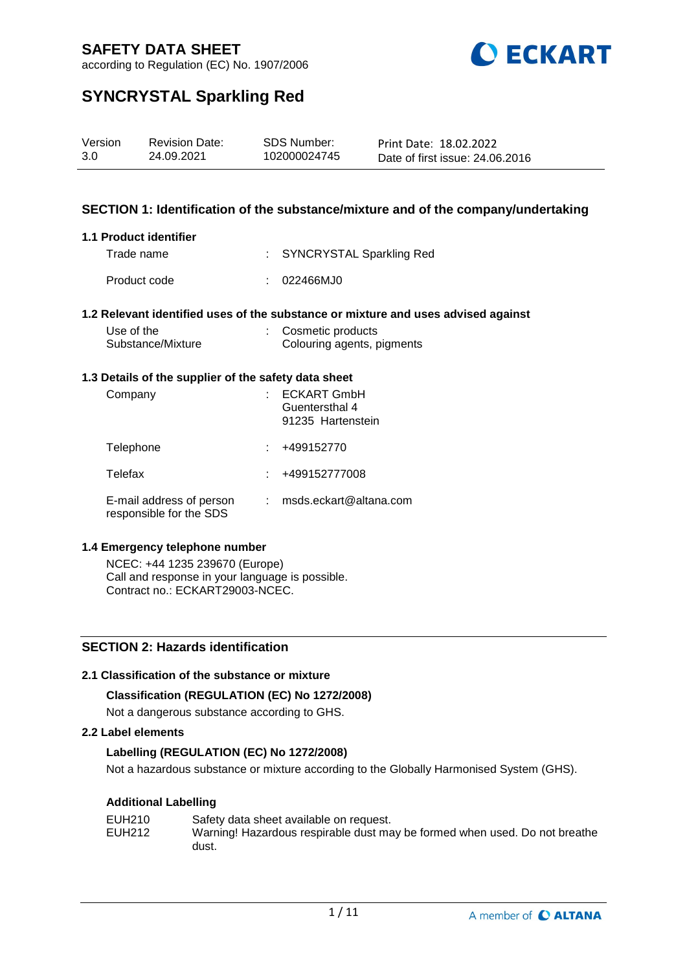

according to Regulation (EC) No. 1907/2006

# **SYNCRYSTAL Sparkling Red**

| Version | <b>Revision Date:</b> | <b>SDS Number:</b> | Print Date: 18.02.2022          |
|---------|-----------------------|--------------------|---------------------------------|
| 3.0     | 24.09.2021            | 102000024745       | Date of first issue: 24,06,2016 |

# **SECTION 1: Identification of the substance/mixture and of the company/undertaking**

## **1.1 Product identifier**

| Trade name   | : SYNCRYSTAL Sparkling Red |
|--------------|----------------------------|
| Product code | : 022466MJ0                |

## **1.2 Relevant identified uses of the substance or mixture and uses advised against**

| Use of the        | Cosmetic products          |
|-------------------|----------------------------|
| Substance/Mixture | Colouring agents, pigments |

### **1.3 Details of the supplier of the safety data sheet**

| Company                                             | <b>ECKART GmbH</b><br>Guentersthal 4<br>91235 Hartenstein |
|-----------------------------------------------------|-----------------------------------------------------------|
| Telephone                                           | +499152770                                                |
| Telefax                                             | +499152777008                                             |
| E-mail address of person<br>responsible for the SDS | msds.eckart@altana.com                                    |

#### **1.4 Emergency telephone number**

NCEC: +44 1235 239670 (Europe) Call and response in your language is possible. Contract no.: ECKART29003-NCEC.

# **SECTION 2: Hazards identification**

## **2.1 Classification of the substance or mixture**

## **Classification (REGULATION (EC) No 1272/2008)**

Not a dangerous substance according to GHS.

## **2.2 Label elements**

# **Labelling (REGULATION (EC) No 1272/2008)**

Not a hazardous substance or mixture according to the Globally Harmonised System (GHS).

## **Additional Labelling**

| EUH210 | Safety data sheet available on request.                                    |
|--------|----------------------------------------------------------------------------|
| EUH212 | Warning! Hazardous respirable dust may be formed when used. Do not breathe |
|        | dust.                                                                      |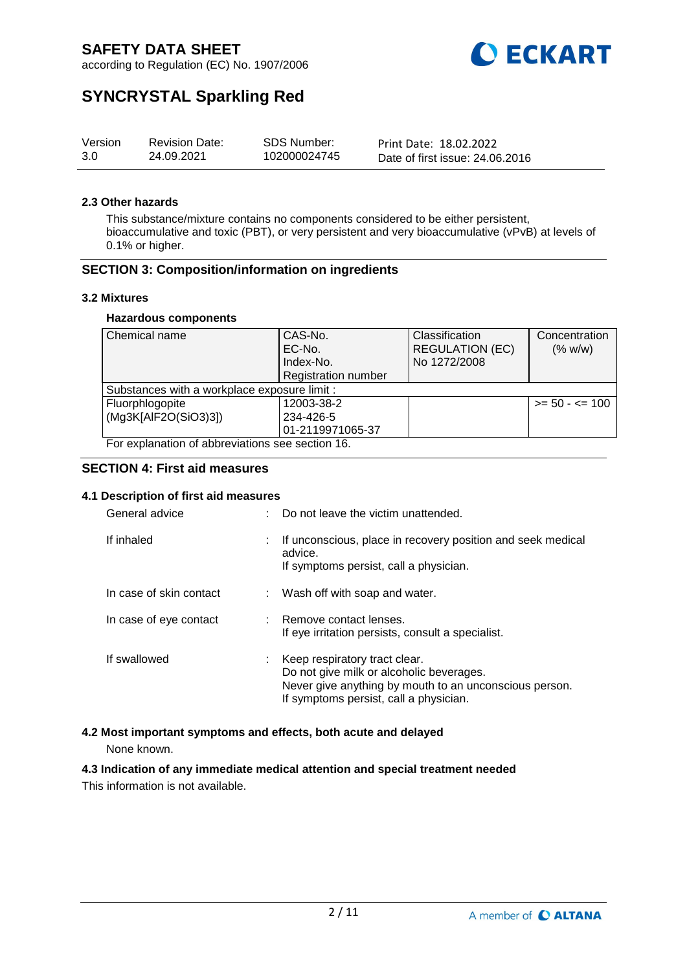

according to Regulation (EC) No. 1907/2006

# **SYNCRYSTAL Sparkling Red**

| Version | <b>Revision Date:</b> | <b>SDS Number:</b> | Print Date: 18.02.2022          |
|---------|-----------------------|--------------------|---------------------------------|
| 3.0     | 24.09.2021            | 102000024745       | Date of first issue: 24,06,2016 |

### **2.3 Other hazards**

This substance/mixture contains no components considered to be either persistent, bioaccumulative and toxic (PBT), or very persistent and very bioaccumulative (vPvB) at levels of 0.1% or higher.

# **SECTION 3: Composition/information on ingredients**

### **3.2 Mixtures**

### **Hazardous components**

| Chemical name                                    | CAS-No.                    | Classification         | Concentration     |  |  |
|--------------------------------------------------|----------------------------|------------------------|-------------------|--|--|
|                                                  | EC-No.                     | <b>REGULATION (EC)</b> | (% w/w)           |  |  |
|                                                  | Index-No.                  | No 1272/2008           |                   |  |  |
|                                                  | <b>Registration number</b> |                        |                   |  |  |
| Substances with a workplace exposure limit :     |                            |                        |                   |  |  |
| Fluorphlogopite                                  | 12003-38-2                 |                        | $>= 50 - 5 = 100$ |  |  |
| (Mg3K[AlF2O(SiO3)3])                             | 234-426-5                  |                        |                   |  |  |
|                                                  | 01-2119971065-37           |                        |                   |  |  |
| For explanation of abbreviations see section 16. |                            |                        |                   |  |  |

## **SECTION 4: First aid measures**

## **4.1 Description of first aid measures**

| General advice          |    | Do not leave the victim unattended.                                                                                                                                           |
|-------------------------|----|-------------------------------------------------------------------------------------------------------------------------------------------------------------------------------|
| If inhaled              | t. | If unconscious, place in recovery position and seek medical<br>advice.<br>If symptoms persist, call a physician.                                                              |
| In case of skin contact |    | : Wash off with soap and water.                                                                                                                                               |
| In case of eye contact  |    | : Remove contact lenses.<br>If eye irritation persists, consult a specialist.                                                                                                 |
| If swallowed            |    | Keep respiratory tract clear.<br>Do not give milk or alcoholic beverages.<br>Never give anything by mouth to an unconscious person.<br>If symptoms persist, call a physician. |

## **4.2 Most important symptoms and effects, both acute and delayed**

None known.

# **4.3 Indication of any immediate medical attention and special treatment needed**

This information is not available.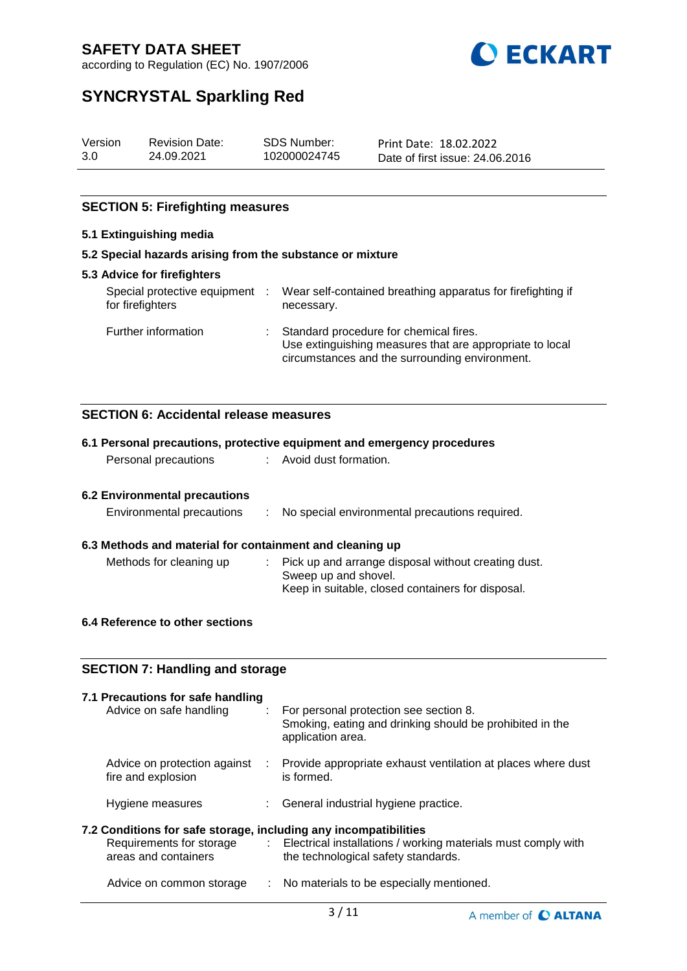

according to Regulation (EC) No. 1907/2006

# **SYNCRYSTAL Sparkling Red**

| Version | <b>Revision Date:</b> | <b>SDS Number:</b> | Print Date: 18.02.2022          |
|---------|-----------------------|--------------------|---------------------------------|
| 3.0     | 24.09.2021            | 102000024745       | Date of first issue: 24,06,2016 |

# **SECTION 5: Firefighting measures**

# **5.1 Extinguishing media**

## **5.2 Special hazards arising from the substance or mixture**

| 5.3 Advice for firefighters                      |                                                                                                                                                        |
|--------------------------------------------------|--------------------------------------------------------------------------------------------------------------------------------------------------------|
| Special protective equipment<br>for firefighters | Wear self-contained breathing apparatus for firefighting if<br>necessary.                                                                              |
| Further information                              | : Standard procedure for chemical fires.<br>Use extinguishing measures that are appropriate to local<br>circumstances and the surrounding environment. |

# **SECTION 6: Accidental release measures**

|                                                                  |                               | 6.1 Personal precautions, protective equipment and emergency procedures                                                 |
|------------------------------------------------------------------|-------------------------------|-------------------------------------------------------------------------------------------------------------------------|
| Personal precautions                                             |                               | : Avoid dust formation.                                                                                                 |
| <b>6.2 Environmental precautions</b>                             |                               |                                                                                                                         |
|                                                                  |                               |                                                                                                                         |
| Environmental precautions                                        | ÷                             | No special environmental precautions required.                                                                          |
| 6.3 Methods and material for containment and cleaning up         |                               |                                                                                                                         |
| Methods for cleaning up                                          |                               | Pick up and arrange disposal without creating dust.<br>Sweep up and shovel.                                             |
|                                                                  |                               | Keep in suitable, closed containers for disposal.                                                                       |
| 6.4 Reference to other sections                                  |                               |                                                                                                                         |
|                                                                  |                               |                                                                                                                         |
| <b>SECTION 7: Handling and storage</b>                           |                               |                                                                                                                         |
| 7.1 Precautions for safe handling                                |                               |                                                                                                                         |
| Advice on safe handling                                          | $\mathcal{L}^{\mathcal{L}}$ . | For personal protection see section 8.<br>Smoking, eating and drinking should be prohibited in the<br>application area. |
| Advice on protection against<br>fire and explosion               |                               | : Provide appropriate exhaust ventilation at places where dust<br>is formed.                                            |
| Hygiene measures                                                 | $\mathbb{R}^{\mathbb{Z}}$     | General industrial hygiene practice.                                                                                    |
| 7.2 Conditions for safe storage, including any incompatibilities |                               |                                                                                                                         |
| Requirements for storage<br>areas and containers                 | $\mathcal{I}^{\mathcal{I}}$ . | Electrical installations / working materials must comply with<br>the technological safety standards.                    |
| Advice on common storage                                         |                               | : No materials to be especially mentioned.                                                                              |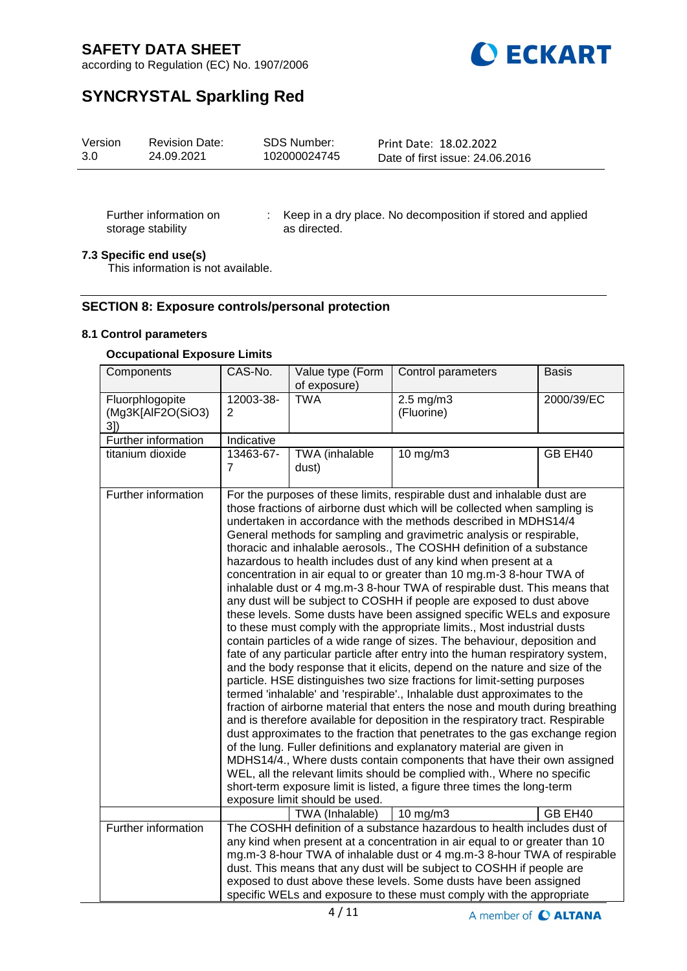

according to Regulation (EC) No. 1907/2006

# **SYNCRYSTAL Sparkling Red**

| Version | <b>Revision Date:</b> | SDS Number:  | Print Date: 18.02.2022          |
|---------|-----------------------|--------------|---------------------------------|
| 3.0     | 24.09.2021            | 102000024745 | Date of first issue: 24,06,2016 |

Further information on storage stability

: Keep in a dry place. No decomposition if stored and applied as directed.

# **7.3 Specific end use(s)**

This information is not available.

# **SECTION 8: Exposure controls/personal protection**

### **8.1 Control parameters**

### **Occupational Exposure Limits**

| Components                                 | CAS-No.                     | Value type (Form<br>of exposure) | Control parameters                                                                                                                                                                                                                                                                                                                                                                                                                                                                                                                                                                                                                                                                                                                                                                                                                                                                                                                                                                                                                                                                                                                                                                                                                                                                                                                                                                                                                                                                                                                                                                                                                                                                                                                                                                                    | <b>Basis</b> |
|--------------------------------------------|-----------------------------|----------------------------------|-------------------------------------------------------------------------------------------------------------------------------------------------------------------------------------------------------------------------------------------------------------------------------------------------------------------------------------------------------------------------------------------------------------------------------------------------------------------------------------------------------------------------------------------------------------------------------------------------------------------------------------------------------------------------------------------------------------------------------------------------------------------------------------------------------------------------------------------------------------------------------------------------------------------------------------------------------------------------------------------------------------------------------------------------------------------------------------------------------------------------------------------------------------------------------------------------------------------------------------------------------------------------------------------------------------------------------------------------------------------------------------------------------------------------------------------------------------------------------------------------------------------------------------------------------------------------------------------------------------------------------------------------------------------------------------------------------------------------------------------------------------------------------------------------------|--------------|
| Fluorphlogopite<br>(Mg3K[AlF2O(SiO3)<br>3] | 12003-38-<br>$\overline{2}$ | <b>TWA</b>                       | $2.5$ mg/m $3$<br>(Fluorine)                                                                                                                                                                                                                                                                                                                                                                                                                                                                                                                                                                                                                                                                                                                                                                                                                                                                                                                                                                                                                                                                                                                                                                                                                                                                                                                                                                                                                                                                                                                                                                                                                                                                                                                                                                          | 2000/39/EC   |
| Further information                        | Indicative                  |                                  |                                                                                                                                                                                                                                                                                                                                                                                                                                                                                                                                                                                                                                                                                                                                                                                                                                                                                                                                                                                                                                                                                                                                                                                                                                                                                                                                                                                                                                                                                                                                                                                                                                                                                                                                                                                                       |              |
| titanium dioxide                           | 13463-67-<br>7              | TWA (inhalable<br>dust)          | $10$ mg/m $3$                                                                                                                                                                                                                                                                                                                                                                                                                                                                                                                                                                                                                                                                                                                                                                                                                                                                                                                                                                                                                                                                                                                                                                                                                                                                                                                                                                                                                                                                                                                                                                                                                                                                                                                                                                                         | GB EH40      |
| Further information                        |                             | exposure limit should be used.   | For the purposes of these limits, respirable dust and inhalable dust are<br>those fractions of airborne dust which will be collected when sampling is<br>undertaken in accordance with the methods described in MDHS14/4<br>General methods for sampling and gravimetric analysis or respirable,<br>thoracic and inhalable aerosols., The COSHH definition of a substance<br>hazardous to health includes dust of any kind when present at a<br>concentration in air equal to or greater than 10 mg.m-3 8-hour TWA of<br>inhalable dust or 4 mg.m-3 8-hour TWA of respirable dust. This means that<br>any dust will be subject to COSHH if people are exposed to dust above<br>these levels. Some dusts have been assigned specific WELs and exposure<br>to these must comply with the appropriate limits., Most industrial dusts<br>contain particles of a wide range of sizes. The behaviour, deposition and<br>fate of any particular particle after entry into the human respiratory system,<br>and the body response that it elicits, depend on the nature and size of the<br>particle. HSE distinguishes two size fractions for limit-setting purposes<br>termed 'inhalable' and 'respirable'., Inhalable dust approximates to the<br>fraction of airborne material that enters the nose and mouth during breathing<br>and is therefore available for deposition in the respiratory tract. Respirable<br>dust approximates to the fraction that penetrates to the gas exchange region<br>of the lung. Fuller definitions and explanatory material are given in<br>MDHS14/4., Where dusts contain components that have their own assigned<br>WEL, all the relevant limits should be complied with., Where no specific<br>short-term exposure limit is listed, a figure three times the long-term |              |
|                                            |                             | TWA (Inhalable)                  | $10 \text{ mg/m}$                                                                                                                                                                                                                                                                                                                                                                                                                                                                                                                                                                                                                                                                                                                                                                                                                                                                                                                                                                                                                                                                                                                                                                                                                                                                                                                                                                                                                                                                                                                                                                                                                                                                                                                                                                                     | GB EH40      |
| Further information                        |                             |                                  | The COSHH definition of a substance hazardous to health includes dust of<br>any kind when present at a concentration in air equal to or greater than 10<br>mg.m-3 8-hour TWA of inhalable dust or 4 mg.m-3 8-hour TWA of respirable<br>dust. This means that any dust will be subject to COSHH if people are<br>exposed to dust above these levels. Some dusts have been assigned<br>specific WELs and exposure to these must comply with the appropriate                                                                                                                                                                                                                                                                                                                                                                                                                                                                                                                                                                                                                                                                                                                                                                                                                                                                                                                                                                                                                                                                                                                                                                                                                                                                                                                                             |              |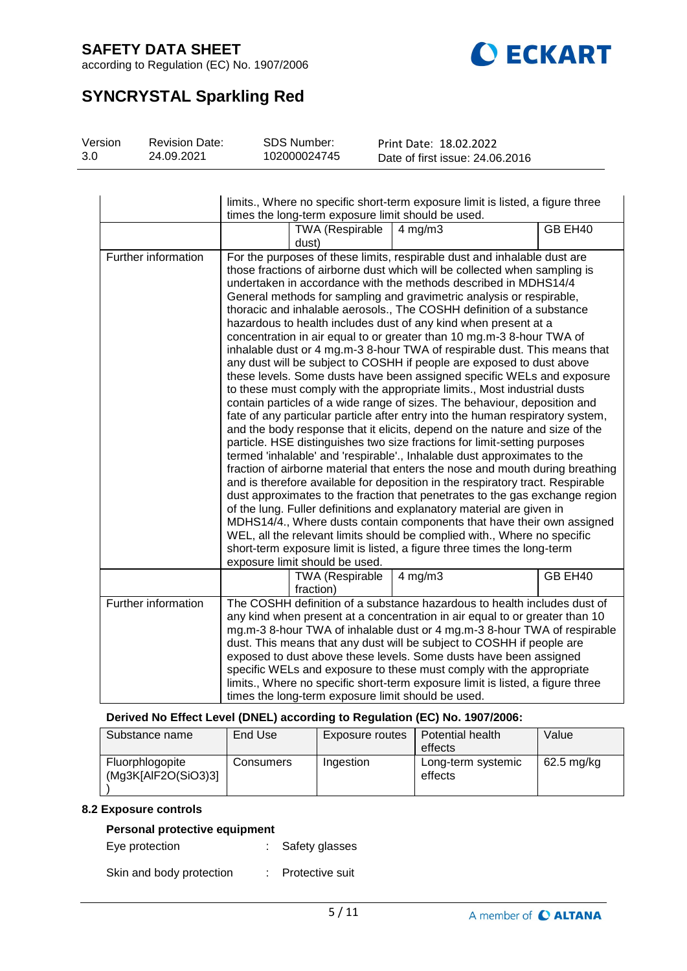

according to Regulation (EC) No. 1907/2006

# **SYNCRYSTAL Sparkling Red**

| Version | <b>Revision Date:</b> | SDS Number:  | Print Date: 18.02.2022          |
|---------|-----------------------|--------------|---------------------------------|
| 3.0     | 24.09.2021            | 102000024745 | Date of first issue: 24,06,2016 |

|                     | limits., Where no specific short-term exposure limit is listed, a figure three<br>times the long-term exposure limit should be used.                                                                                                                                                                                                                                                                                                                                                                                                                                                              |                                     |                                                                                                                                                                                                                                                                                                                                                                                                                                                                                                                                                                                                                                                                                                                                                                                                                                                                                                                                                                                                                                                                                                                                                                                                                                                                                                                                                                                                                                                                                                                                                                                                                                                                                                                                                                                                       |         |  |
|---------------------|---------------------------------------------------------------------------------------------------------------------------------------------------------------------------------------------------------------------------------------------------------------------------------------------------------------------------------------------------------------------------------------------------------------------------------------------------------------------------------------------------------------------------------------------------------------------------------------------------|-------------------------------------|-------------------------------------------------------------------------------------------------------------------------------------------------------------------------------------------------------------------------------------------------------------------------------------------------------------------------------------------------------------------------------------------------------------------------------------------------------------------------------------------------------------------------------------------------------------------------------------------------------------------------------------------------------------------------------------------------------------------------------------------------------------------------------------------------------------------------------------------------------------------------------------------------------------------------------------------------------------------------------------------------------------------------------------------------------------------------------------------------------------------------------------------------------------------------------------------------------------------------------------------------------------------------------------------------------------------------------------------------------------------------------------------------------------------------------------------------------------------------------------------------------------------------------------------------------------------------------------------------------------------------------------------------------------------------------------------------------------------------------------------------------------------------------------------------------|---------|--|
|                     |                                                                                                                                                                                                                                                                                                                                                                                                                                                                                                                                                                                                   | <b>TWA (Respirable</b><br>dust)     | $4$ mg/m $3$                                                                                                                                                                                                                                                                                                                                                                                                                                                                                                                                                                                                                                                                                                                                                                                                                                                                                                                                                                                                                                                                                                                                                                                                                                                                                                                                                                                                                                                                                                                                                                                                                                                                                                                                                                                          | GB EH40 |  |
| Further information |                                                                                                                                                                                                                                                                                                                                                                                                                                                                                                                                                                                                   | exposure limit should be used.      | For the purposes of these limits, respirable dust and inhalable dust are<br>those fractions of airborne dust which will be collected when sampling is<br>undertaken in accordance with the methods described in MDHS14/4<br>General methods for sampling and gravimetric analysis or respirable,<br>thoracic and inhalable aerosols., The COSHH definition of a substance<br>hazardous to health includes dust of any kind when present at a<br>concentration in air equal to or greater than 10 mg.m-3 8-hour TWA of<br>inhalable dust or 4 mg.m-3 8-hour TWA of respirable dust. This means that<br>any dust will be subject to COSHH if people are exposed to dust above<br>these levels. Some dusts have been assigned specific WELs and exposure<br>to these must comply with the appropriate limits., Most industrial dusts<br>contain particles of a wide range of sizes. The behaviour, deposition and<br>fate of any particular particle after entry into the human respiratory system,<br>and the body response that it elicits, depend on the nature and size of the<br>particle. HSE distinguishes two size fractions for limit-setting purposes<br>termed 'inhalable' and 'respirable'., Inhalable dust approximates to the<br>fraction of airborne material that enters the nose and mouth during breathing<br>and is therefore available for deposition in the respiratory tract. Respirable<br>dust approximates to the fraction that penetrates to the gas exchange region<br>of the lung. Fuller definitions and explanatory material are given in<br>MDHS14/4., Where dusts contain components that have their own assigned<br>WEL, all the relevant limits should be complied with., Where no specific<br>short-term exposure limit is listed, a figure three times the long-term |         |  |
|                     |                                                                                                                                                                                                                                                                                                                                                                                                                                                                                                                                                                                                   | <b>TWA (Respirable</b><br>fraction) | $4$ mg/m $3$                                                                                                                                                                                                                                                                                                                                                                                                                                                                                                                                                                                                                                                                                                                                                                                                                                                                                                                                                                                                                                                                                                                                                                                                                                                                                                                                                                                                                                                                                                                                                                                                                                                                                                                                                                                          | GB EH40 |  |
| Further information | The COSHH definition of a substance hazardous to health includes dust of<br>any kind when present at a concentration in air equal to or greater than 10<br>mg.m-3 8-hour TWA of inhalable dust or 4 mg.m-3 8-hour TWA of respirable<br>dust. This means that any dust will be subject to COSHH if people are<br>exposed to dust above these levels. Some dusts have been assigned<br>specific WELs and exposure to these must comply with the appropriate<br>limits., Where no specific short-term exposure limit is listed, a figure three<br>times the long-term exposure limit should be used. |                                     |                                                                                                                                                                                                                                                                                                                                                                                                                                                                                                                                                                                                                                                                                                                                                                                                                                                                                                                                                                                                                                                                                                                                                                                                                                                                                                                                                                                                                                                                                                                                                                                                                                                                                                                                                                                                       |         |  |

# **Derived No Effect Level (DNEL) according to Regulation (EC) No. 1907/2006:**

| Substance name                         | End Use   | Exposure routes | Potential health<br>effects   | Value      |
|----------------------------------------|-----------|-----------------|-------------------------------|------------|
| Fluorphlogopite<br>(Mg3K[AlF2O(SiO3)3] | Consumers | Ingestion       | Long-term systemic<br>effects | 62.5 mg/kg |

#### **8.2 Exposure controls**

# **Personal protective equipment**

Eye protection : Safety glasses

Skin and body protection : Protective suit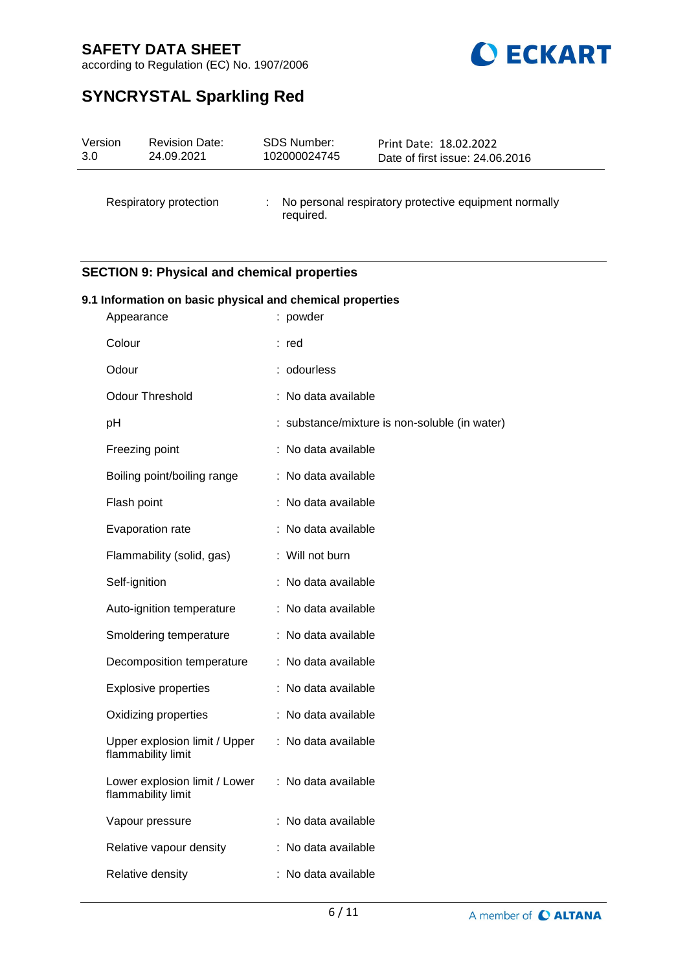

according to Regulation (EC) No. 1907/2006

# **SYNCRYSTAL Sparkling Red**

| Version | <b>Revision Date:</b>  | SDS Number:  | Print Date: 18.02.2022                                |
|---------|------------------------|--------------|-------------------------------------------------------|
| 3.0     | 24.09.2021             | 102000024745 | Date of first issue: 24.06.2016                       |
|         | Respiratory protection | required.    | No personal respiratory protective equipment normally |

# **SECTION 9: Physical and chemical properties**

| 9.1 Information on basic physical and chemical properties<br>: powder<br>Appearance |  |                                               |  |  |  |  |  |
|-------------------------------------------------------------------------------------|--|-----------------------------------------------|--|--|--|--|--|
|                                                                                     |  |                                               |  |  |  |  |  |
| Colour                                                                              |  | : red                                         |  |  |  |  |  |
| Odour                                                                               |  | : odourless                                   |  |  |  |  |  |
| Odour Threshold                                                                     |  | : No data available                           |  |  |  |  |  |
| pH                                                                                  |  | : substance/mixture is non-soluble (in water) |  |  |  |  |  |
| Freezing point                                                                      |  | : No data available                           |  |  |  |  |  |
| Boiling point/boiling range                                                         |  | : No data available                           |  |  |  |  |  |
| Flash point                                                                         |  | : No data available                           |  |  |  |  |  |
| Evaporation rate                                                                    |  | : No data available                           |  |  |  |  |  |
| Flammability (solid, gas)                                                           |  | : Will not burn                               |  |  |  |  |  |
| Self-ignition                                                                       |  | : No data available                           |  |  |  |  |  |
| Auto-ignition temperature                                                           |  | : No data available                           |  |  |  |  |  |
| Smoldering temperature                                                              |  | : No data available                           |  |  |  |  |  |
| Decomposition temperature                                                           |  | : No data available                           |  |  |  |  |  |
| <b>Explosive properties</b>                                                         |  | : No data available                           |  |  |  |  |  |
| Oxidizing properties                                                                |  | : No data available                           |  |  |  |  |  |
| Upper explosion limit / Upper<br>flammability limit                                 |  | : No data available                           |  |  |  |  |  |
| Lower explosion limit / Lower<br>flammability limit                                 |  | : No data available                           |  |  |  |  |  |
| Vapour pressure                                                                     |  | : No data available                           |  |  |  |  |  |
| Relative vapour density                                                             |  | : No data available                           |  |  |  |  |  |
| Relative density                                                                    |  | : No data available                           |  |  |  |  |  |
|                                                                                     |  |                                               |  |  |  |  |  |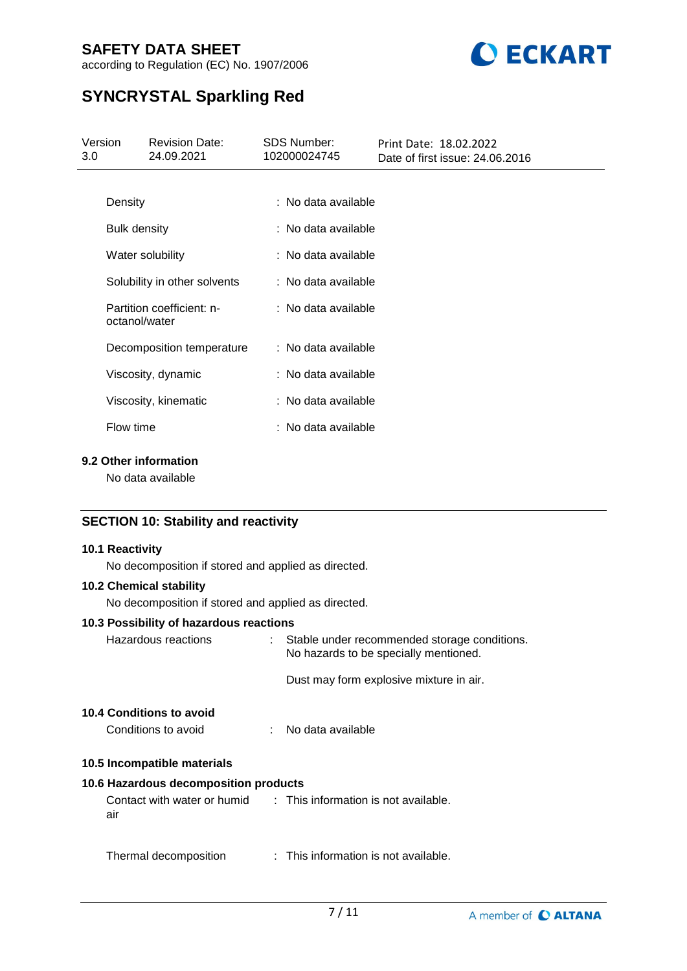

according to Regulation (EC) No. 1907/2006

# **SYNCRYSTAL Sparkling Red**

| Version<br>3.0 | <b>Revision Date:</b><br>24.09.2021        | SDS Number:<br>102000024745 | Print Date: 18.02.2022<br>Date of first issue: 24.06.2016 |  |
|----------------|--------------------------------------------|-----------------------------|-----------------------------------------------------------|--|
|                |                                            |                             |                                                           |  |
| Density        |                                            | : No data available         |                                                           |  |
|                | <b>Bulk density</b>                        | : No data available         |                                                           |  |
|                | Water solubility                           | : No data available         |                                                           |  |
|                | Solubility in other solvents               | : No data available         |                                                           |  |
|                | Partition coefficient: n-<br>octanol/water | : No data available         |                                                           |  |
|                | Decomposition temperature                  | : No data available         |                                                           |  |
|                | Viscosity, dynamic                         | : No data available         |                                                           |  |
|                | Viscosity, kinematic                       | : No data available         |                                                           |  |
|                | Flow time                                  | : No data available         |                                                           |  |
|                |                                            |                             |                                                           |  |

# **9.2 Other information**

No data available

# **SECTION 10: Stability and reactivity**

## **10.1 Reactivity**

No decomposition if stored and applied as directed.

# **10.2 Chemical stability**

No decomposition if stored and applied as directed.

## **10.3 Possibility of hazardous reactions**

| Hazardous reactions |                                                                         | : Stable under recommended storage conditions.<br>No hazards to be specially mentioned. |  |  |
|---------------------|-------------------------------------------------------------------------|-----------------------------------------------------------------------------------------|--|--|
|                     |                                                                         | Dust may form explosive mixture in air.                                                 |  |  |
|                     | <b>10.4 Conditions to avoid</b><br>Conditions to avoid                  | : No data available                                                                     |  |  |
|                     |                                                                         |                                                                                         |  |  |
|                     | 10.5 Incompatible materials                                             |                                                                                         |  |  |
|                     | 10.6 Hazardous decomposition products                                   |                                                                                         |  |  |
|                     | Contact with water or humid : This information is not available.<br>air |                                                                                         |  |  |
|                     |                                                                         |                                                                                         |  |  |

Thermal decomposition : This information is not available.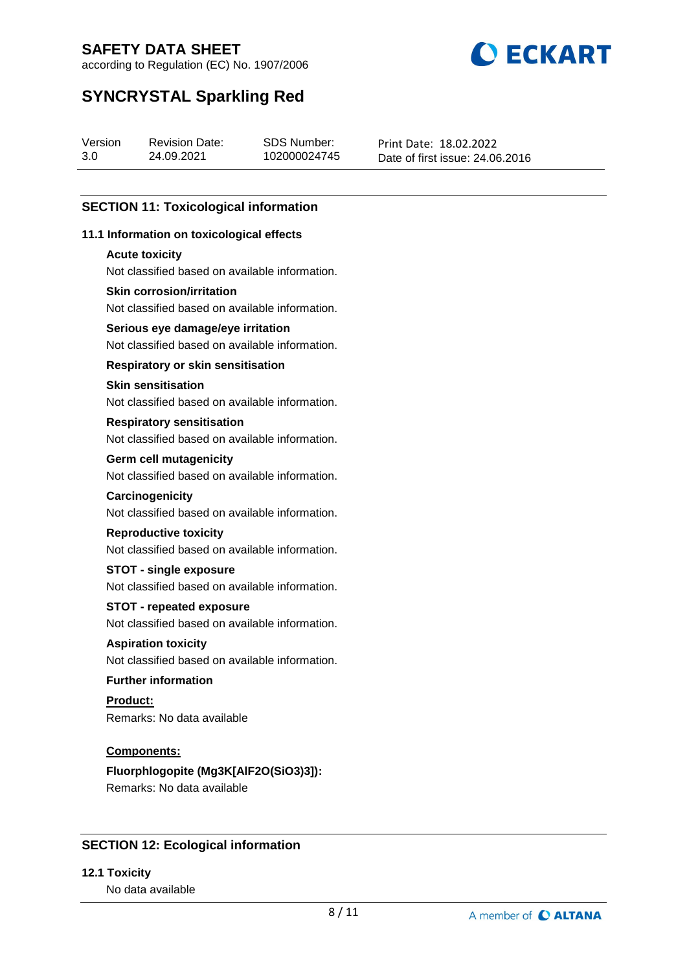

according to Regulation (EC) No. 1907/2006

# **SYNCRYSTAL Sparkling Red**

| Version | <b>Revision Date:</b> | SDS Number:  | Print Date: 18.02.2022          |
|---------|-----------------------|--------------|---------------------------------|
| 3.0     | 24.09.2021            | 102000024745 | Date of first issue: 24.06.2016 |

# **SECTION 11: Toxicological information**

# **11.1 Information on toxicological effects**

### **Acute toxicity**

Not classified based on available information.

## **Skin corrosion/irritation**

Not classified based on available information.

## **Serious eye damage/eye irritation**

Not classified based on available information.

## **Respiratory or skin sensitisation**

### **Skin sensitisation**

Not classified based on available information.

### **Respiratory sensitisation**

Not classified based on available information.

### **Germ cell mutagenicity**

Not classified based on available information.

#### **Carcinogenicity**

Not classified based on available information.

#### **Reproductive toxicity**

Not classified based on available information.

# **STOT - single exposure**

Not classified based on available information.

## **STOT - repeated exposure**

Not classified based on available information.

#### **Aspiration toxicity**

Not classified based on available information.

## **Further information**

**Product:** Remarks: No data available

## **Components:**

**Fluorphlogopite (Mg3K[AlF2O(SiO3)3]):** Remarks: No data available

# **SECTION 12: Ecological information**

## **12.1 Toxicity**

No data available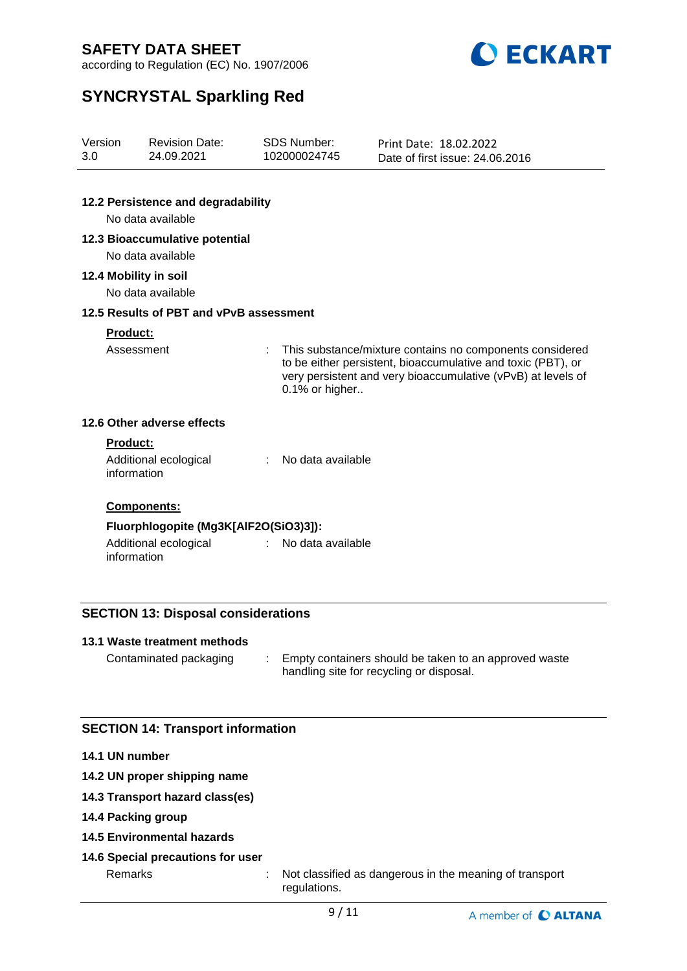

according to Regulation (EC) No. 1907/2006

# **SYNCRYSTAL Sparkling Red**

| Version<br>3.0  | <b>Revision Date:</b><br>24.09.2021     | <b>SDS Number:</b><br>102000024745 | Print Date: 18.02.2022<br>Date of first issue: 24.06.2016                                                                                                                                |
|-----------------|-----------------------------------------|------------------------------------|------------------------------------------------------------------------------------------------------------------------------------------------------------------------------------------|
|                 | 12.2 Persistence and degradability      |                                    |                                                                                                                                                                                          |
|                 | No data available                       |                                    |                                                                                                                                                                                          |
|                 | 12.3 Bioaccumulative potential          |                                    |                                                                                                                                                                                          |
|                 | No data available                       |                                    |                                                                                                                                                                                          |
|                 | 12.4 Mobility in soil                   |                                    |                                                                                                                                                                                          |
|                 | No data available                       |                                    |                                                                                                                                                                                          |
|                 | 12.5 Results of PBT and vPvB assessment |                                    |                                                                                                                                                                                          |
| Product:        |                                         |                                    |                                                                                                                                                                                          |
|                 | Assessment                              | ÷<br>0.1% or higher                | This substance/mixture contains no components considered<br>to be either persistent, bioaccumulative and toxic (PBT), or<br>very persistent and very bioaccumulative (vPvB) at levels of |
|                 | 12.6 Other adverse effects              |                                    |                                                                                                                                                                                          |
| <b>Product:</b> |                                         |                                    |                                                                                                                                                                                          |
|                 | Additional ecological<br>information    | No data available                  |                                                                                                                                                                                          |
|                 | Components:                             |                                    |                                                                                                                                                                                          |
|                 | Fluorphlogopite (Mg3K[AlF2O(SiO3)3]):   |                                    |                                                                                                                                                                                          |
|                 | Additional ecological<br>information    | No data available                  |                                                                                                                                                                                          |
|                 |                                         |                                    |                                                                                                                                                                                          |

# **SECTION 13: Disposal considerations**

## **13.1 Waste treatment methods**

Contaminated packaging : Empty containers should be taken to an approved waste handling site for recycling or disposal.

# **SECTION 14: Transport information**

## **14.1 UN number**

- **14.2 UN proper shipping name**
- **14.3 Transport hazard class(es)**
- **14.4 Packing group**
- **14.5 Environmental hazards**

## **14.6 Special precautions for user**

Remarks : Not classified as dangerous in the meaning of transport regulations.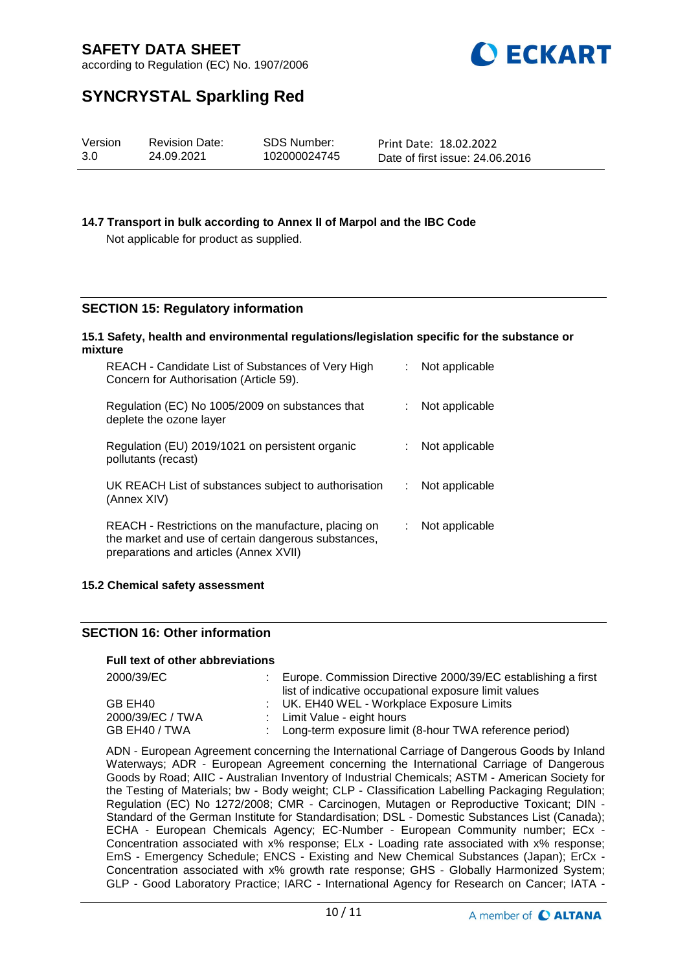

according to Regulation (EC) No. 1907/2006

# **SYNCRYSTAL Sparkling Red**

| Version<br>SDS Number:<br><b>Revision Date:</b><br>3.0<br>102000024745<br>24.09.2021 | Print Date: 18.02.2022<br>Date of first issue: 24,06,2016 |
|--------------------------------------------------------------------------------------|-----------------------------------------------------------|
|--------------------------------------------------------------------------------------|-----------------------------------------------------------|

## **14.7 Transport in bulk according to Annex II of Marpol and the IBC Code**

Not applicable for product as supplied.

# **SECTION 15: Regulatory information**

#### **15.1 Safety, health and environmental regulations/legislation specific for the substance or mixture**

| REACH - Candidate List of Substances of Very High<br>Concern for Authorisation (Article 59).                                                         |    | Not applicable |
|------------------------------------------------------------------------------------------------------------------------------------------------------|----|----------------|
| Regulation (EC) No 1005/2009 on substances that<br>deplete the ozone layer                                                                           |    | Not applicable |
| Regulation (EU) 2019/1021 on persistent organic<br>pollutants (recast)                                                                               |    | Not applicable |
| UK REACH List of substances subject to authorisation<br>(Annex XIV)                                                                                  | t. | Not applicable |
| REACH - Restrictions on the manufacture, placing on<br>the market and use of certain dangerous substances,<br>preparations and articles (Annex XVII) | t. | Not applicable |

## **15.2 Chemical safety assessment**

## **SECTION 16: Other information**

#### **Full text of other abbreviations**

| 2000/39/EC       | Europe. Commission Directive 2000/39/EC establishing a first |
|------------------|--------------------------------------------------------------|
|                  | list of indicative occupational exposure limit values        |
| GB EH40          | : UK. EH40 WEL - Workplace Exposure Limits                   |
| 2000/39/EC / TWA | : Limit Value - eight hours                                  |
| GB EH40 / TWA    | : Long-term exposure limit (8-hour TWA reference period)     |

ADN - European Agreement concerning the International Carriage of Dangerous Goods by Inland Waterways; ADR - European Agreement concerning the International Carriage of Dangerous Goods by Road; AIIC - Australian Inventory of Industrial Chemicals; ASTM - American Society for the Testing of Materials; bw - Body weight; CLP - Classification Labelling Packaging Regulation; Regulation (EC) No 1272/2008; CMR - Carcinogen, Mutagen or Reproductive Toxicant; DIN - Standard of the German Institute for Standardisation; DSL - Domestic Substances List (Canada); ECHA - European Chemicals Agency; EC-Number - European Community number; ECx - Concentration associated with x% response; ELx - Loading rate associated with x% response; EmS - Emergency Schedule; ENCS - Existing and New Chemical Substances (Japan); ErCx - Concentration associated with x% growth rate response; GHS - Globally Harmonized System; GLP - Good Laboratory Practice; IARC - International Agency for Research on Cancer; IATA -